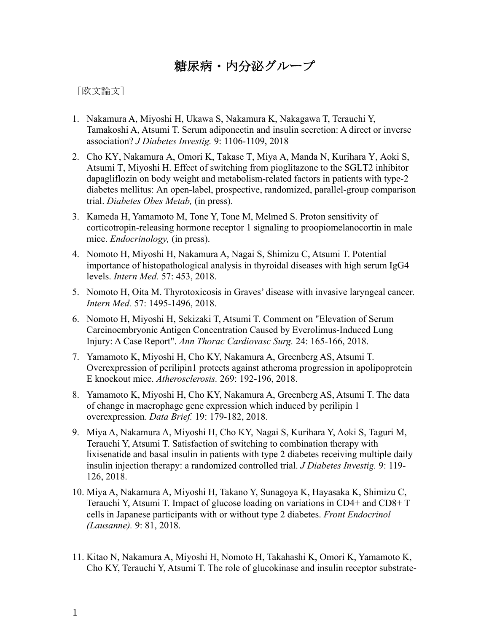糖尿病・内分泌グループ

[欧文論文]

- 1. Nakamura A, Miyoshi H, Ukawa S, Nakamura K, Nakagawa T, Terauchi Y, Tamakoshi A, Atsumi T. Serum adiponectin and insulin secretion: A direct or inverse association? *J Diabetes Investig.* 9: 1106-1109, 2018
- 2. Cho KY, Nakamura A, Omori K, Takase T, Miya A, Manda N, Kurihara Y, Aoki S, Atsumi T, Miyoshi H. Effect of switching from pioglitazone to the SGLT2 inhibitor dapagliflozin on body weight and metabolism-related factors in patients with type-2 diabetes mellitus: An open-label, prospective, randomized, parallel-group comparison trial. *Diabetes Obes Metab,* (in press).
- 3. Kameda H, Yamamoto M, Tone Y, Tone M, Melmed S. Proton sensitivity of corticotropin-releasing hormone receptor 1 signaling to proopiomelanocortin in male mice. *Endocrinology,* (in press).
- 4. Nomoto H, Miyoshi H, Nakamura A, Nagai S, Shimizu C, Atsumi T. Potential importance of histopathological analysis in thyroidal diseases with high serum IgG4 levels. *Intern Med.* 57: 453, 2018.
- 5. Nomoto H, Oita M. Thyrotoxicosis in Graves' disease with invasive laryngeal cancer. *Intern Med.* 57: 1495-1496, 2018.
- 6. Nomoto H, Miyoshi H, Sekizaki T, Atsumi T. Comment on "Elevation of Serum Carcinoembryonic Antigen Concentration Caused by Everolimus-Induced Lung Injury: A Case Report". *Ann Thorac Cardiovasc Surg.* 24: 165-166, 2018.
- 7. Yamamoto K, Miyoshi H, Cho KY, Nakamura A, Greenberg AS, Atsumi T. Overexpression of perilipin1 protects against atheroma progression in apolipoprotein E knockout mice. *Atherosclerosis.* 269: 192-196, 2018.
- 8. Yamamoto K, Miyoshi H, Cho KY, Nakamura A, Greenberg AS, Atsumi T. The data of change in macrophage gene expression which induced by perilipin 1 overexpression. *Data Brief.* 19: 179-182, 2018.
- 9. Miya A, Nakamura A, Miyoshi H, Cho KY, Nagai S, Kurihara Y, Aoki S, Taguri M, Terauchi Y, Atsumi T. Satisfaction of switching to combination therapy with lixisenatide and basal insulin in patients with type 2 diabetes receiving multiple daily insulin injection therapy: a randomized controlled trial. *J Diabetes Investig.* 9: 119- 126, 2018.
- 10. Miya A, Nakamura A, Miyoshi H, Takano Y, Sunagoya K, Hayasaka K, Shimizu C, Terauchi Y, Atsumi T. Impact of glucose loading on variations in CD4+ and CD8+ T cells in Japanese participants with or without type 2 diabetes. *Front Endocrinol (Lausanne).* 9: 81, 2018.
- 11. Kitao N, Nakamura A, Miyoshi H, Nomoto H, Takahashi K, Omori K, Yamamoto K, Cho KY, Terauchi Y, Atsumi T. The role of glucokinase and insulin receptor substrate-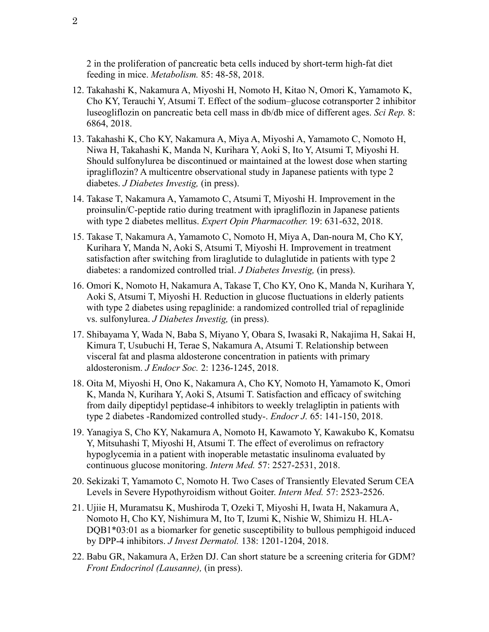2 in the proliferation of pancreatic beta cells induced by short-term high-fat diet feeding in mice. *Metabolism.* 85: 48-58, 2018.

- 12. Takahashi K, Nakamura A, Miyoshi H, Nomoto H, Kitao N, Omori K, Yamamoto K, Cho KY, Terauchi Y, Atsumi T. Effect of the sodium–glucose cotransporter 2 inhibitor luseogliflozin on pancreatic beta cell mass in db/db mice of different ages. *Sci Rep.* 8: 6864, 2018.
- 13. Takahashi K, Cho KY, Nakamura A, Miya A, Miyoshi A, Yamamoto C, Nomoto H, Niwa H, Takahashi K, Manda N, Kurihara Y, Aoki S, Ito Y, Atsumi T, Miyoshi H. Should sulfonylurea be discontinued or maintained at the lowest dose when starting ipragliflozin? A multicentre observational study in Japanese patients with type 2 diabetes. *J Diabetes Investig,* (in press).
- 14. Takase T, Nakamura A, Yamamoto C, Atsumi T, Miyoshi H. Improvement in the proinsulin/C-peptide ratio during treatment with ipragliflozin in Japanese patients with type 2 diabetes mellitus. *Expert Opin Pharmacother.* 19: 631-632, 2018.
- 15. Takase T, Nakamura A, Yamamoto C, Nomoto H, Miya A, Dan-noura M, Cho KY, Kurihara Y, Manda N, Aoki S, Atsumi T, Miyoshi H. Improvement in treatment satisfaction after switching from liraglutide to dulaglutide in patients with type 2 diabetes: a randomized controlled trial. *J Diabetes Investig,* (in press).
- 16. Omori K, Nomoto H, Nakamura A, Takase T, Cho KY, Ono K, Manda N, Kurihara Y, Aoki S, Atsumi T, Miyoshi H. Reduction in glucose fluctuations in elderly patients with type 2 diabetes using repaglinide: a randomized controlled trial of repaglinide vs. sulfonylurea. *J Diabetes Investig,* (in press).
- 17. Shibayama Y, Wada N, Baba S, Miyano Y, Obara S, Iwasaki R, Nakajima H, Sakai H, Kimura T, Usubuchi H, Terae S, Nakamura A, Atsumi T. Relationship between visceral fat and plasma aldosterone concentration in patients with primary aldosteronism. *J Endocr Soc.* 2: 1236-1245, 2018.
- 18. Oita M, Miyoshi H, Ono K, Nakamura A, Cho KY, Nomoto H, Yamamoto K, Omori K, Manda N, Kurihara Y, Aoki S, Atsumi T. Satisfaction and efficacy of switching from daily dipeptidyl peptidase-4 inhibitors to weekly trelagliptin in patients with type 2 diabetes -Randomized controlled study-. *Endocr J.* 65: 141-150, 2018.
- 19. Yanagiya S, Cho KY, Nakamura A, Nomoto H, Kawamoto Y, Kawakubo K, Komatsu Y, Mitsuhashi T, Miyoshi H, Atsumi T. The effect of everolimus on refractory hypoglycemia in a patient with inoperable metastatic insulinoma evaluated by continuous glucose monitoring. *Intern Med.* 57: 2527-2531, 2018.
- 20. Sekizaki T, Yamamoto C, Nomoto H. Two Cases of Transiently Elevated Serum CEA Levels in Severe Hypothyroidism without Goiter. *Intern Med.* 57: 2523-2526.
- 21. Ujiie H, Muramatsu K, Mushiroda T, Ozeki T, Miyoshi H, Iwata H, Nakamura A, Nomoto H, Cho KY, Nishimura M, Ito T, Izumi K, Nishie W, Shimizu H. HLA-DQB1\*03:01 as a biomarker for genetic susceptibility to bullous pemphigoid induced by DPP-4 inhibitors. *J Invest Dermatol.* 138: 1201-1204, 2018.
- 22. Babu GR, Nakamura A, Eržen DJ. Can short stature be a screening criteria for GDM? *Front Endocrinol (Lausanne),* (in press).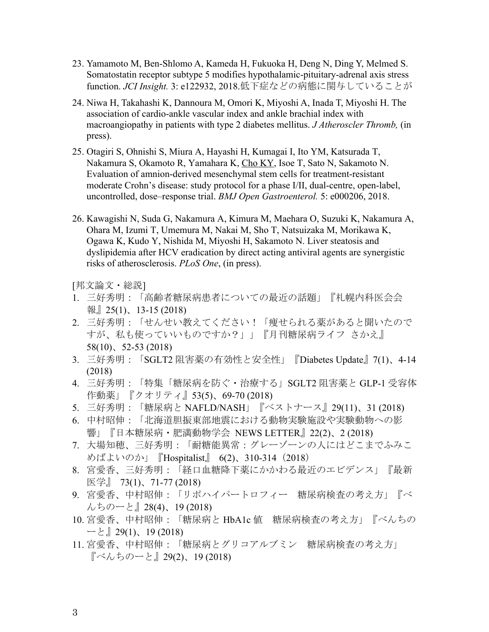- 23. Yamamoto M, Ben-Shlomo A, Kameda H, Fukuoka H, Deng N, Ding Y, Melmed S. Somatostatin receptor subtype 5 modifies hypothalamic-pituitary-adrenal axis stress function. *JCI Insight.* 3: e122932, 2018.低下症などの病態に関与していることが
- 24. Niwa H, Takahashi K, Dannoura M, Omori K, Miyoshi A, Inada T, Miyoshi H. The association of cardio-ankle vascular index and ankle brachial index with macroangiopathy in patients with type 2 diabetes mellitus. *J Atheroscler Thromb,* (in press).
- 25. Otagiri S, Ohnishi S, Miura A, Hayashi H, Kumagai I, Ito YM, Katsurada T, Nakamura S, Okamoto R, Yamahara K, Cho KY, Isoe T, Sato N, Sakamoto N. Evaluation of amnion-derived mesenchymal stem cells for treatment-resistant moderate Crohn's disease: study protocol for a phase I/II, dual-centre, open-label, uncontrolled, dose–response trial. *BMJ Open Gastroenterol.* 5: e000206, 2018.
- 26. Kawagishi N, Suda G, Nakamura A, Kimura M, Maehara O, Suzuki K, Nakamura A, Ohara M, Izumi T, Umemura M, Nakai M, Sho T, Natsuizaka M, Morikawa K, Ogawa K, Kudo Y, Nishida M, Miyoshi H, Sakamoto N. Liver steatosis and dyslipidemia after HCV eradication by direct acting antiviral agents are synergistic risks of atherosclerosis. *PLoS One*, (in press).

[邦文論文・総説]

- 1. 三好秀明:「高齢者糖尿病患者についての最近の話題」『札幌内科医会会 報』25(1)、13-15 (2018)
- 2. 三好秀明:「せんせい教えてください!「痩せられる薬があると聞いたので すが、私も使っていいものですか?」」『月刊糖尿病ライフ さかえ』 58(10)、52-53 (2018)
- 3. 三好秀明:「SGLT2 阻害薬の有効性と安全性」『Diabetes Update』7(1)、4-14 (2018)
- 4. 三好秀明:「特集「糖尿病を防ぐ・治療する」SGLT2 阻害薬と GLP-1 受容体 作動薬」『クオリティ』53(5)、69-70 (2018)
- 5. 三好秀明:「糖尿病と NAFLD/NASH」『ベストナース』29(11)、31 (2018)
- 6. 中村昭伸:「北海道胆振東部地震における動物実験施設や実験動物への影 響」『日本糖尿病・肥満動物学会 NEWS LETTER』22(2)、2 (2018)
- 7. 大場知穂、三好秀明:「耐糖能異常:グレーゾーンの人にはどこまでふみこ めばよいのか」『Hospitalist』 6(2)、310-314 (2018)
- 8. 宮愛香、三好秀明:「経口血糖降下薬にかかわる最近のエビデンス」『最新 医学』 73(1)、71-77 (2018)
- 9. 宮愛香、中村昭伸:「リポハイパートロフィー 糖尿病検査の考え方」『べ んちのーと』28(4)、19 (2018)
- 10. 宮愛香、中村昭伸:「糖尿病と HbA1c 値 糖尿病検査の考え方」『べんちの ーと』29(1)、19 (2018)
- 11. 宮愛香、中村昭伸:「糖尿病とグリコアルブミン 糖尿病検査の考え方」 『べんちのーと』29(2)、19 (2018)